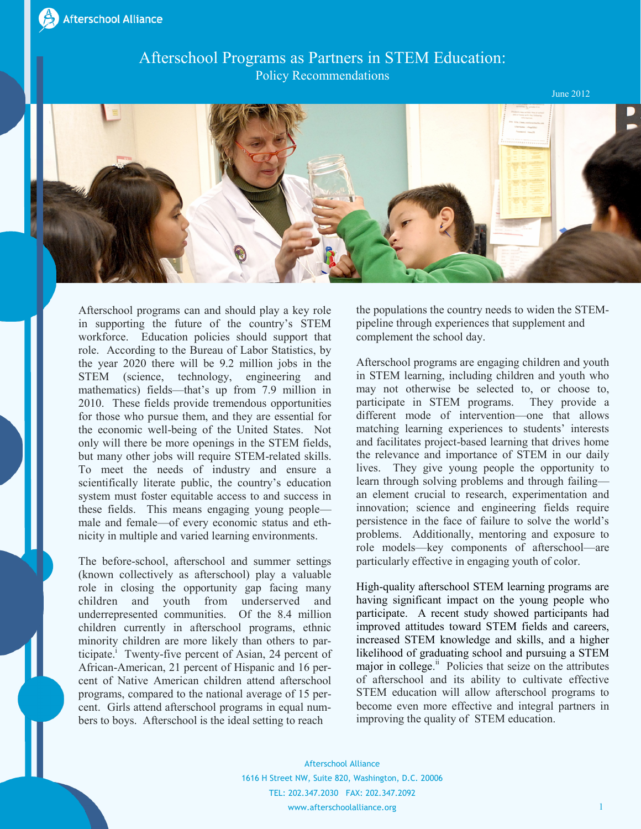## Afterschool Programs as Partners in STEM Education: Policy Recommendations

June 2012



Afterschool programs can and should play a key role in supporting the future of the country's STEM workforce. Education policies should support that role. According to the Bureau of Labor Statistics, by the year 2020 there will be 9.2 million jobs in the STEM (science, technology, engineering and mathematics) fields—that's up from 7.9 million in 2010. These fields provide tremendous opportunities for those who pursue them, and they are essential for the economic well-being of the United States. Not only will there be more openings in the STEM fields, but many other jobs will require STEM-related skills. To meet the needs of industry and ensure a scientifically literate public, the country's education system must foster equitable access to and success in these fields. This means engaging young people male and female—of every economic status and ethnicity in multiple and varied learning environments.

The before-school, afterschool and summer settings (known collectively as afterschool) play a valuable role in closing the opportunity gap facing many children and youth from underserved and underrepresented communities. Of the 8.4 million children currently in afterschool programs, ethnic minority children are more likely than others to participate.<sup>1</sup> Twenty-five percent of Asian, 24 percent of African-American, 21 percent of Hispanic and 16 percent of Native American children attend afterschool programs, compared to the national average of 15 percent. Girls attend afterschool programs in equal numbers to boys. Afterschool is the ideal setting to reach

the populations the country needs to widen the STEMpipeline through experiences that supplement and complement the school day.

Afterschool programs are engaging children and youth in STEM learning, including children and youth who may not otherwise be selected to, or choose to, participate in STEM programs. They provide a different mode of intervention—one that allows matching learning experiences to students' interests and facilitates project-based learning that drives home the relevance and importance of STEM in our daily lives. They give young people the opportunity to learn through solving problems and through failing an element crucial to research, experimentation and innovation; science and engineering fields require persistence in the face of failure to solve the world's problems. Additionally, mentoring and exposure to role models—key components of afterschool—are particularly effective in engaging youth of color.

High-quality afterschool STEM learning programs are having significant impact on the young people who participate. A recent study showed participants had improved attitudes toward STEM fields and careers, increased STEM knowledge and skills, and a higher likelihood of graduating school and pursuing a STEM major in college.<sup>ii</sup> Policies that seize on the attributes of afterschool and its ability to cultivate effective STEM education will allow afterschool programs to become even more effective and integral partners in improving the quality of STEM education.

Afterschool Alliance 1616 H Street NW, Suite 820, Washington, D.C. 20006 TEL: 202.347.2030 FAX: 202.347.2092 www.afterschoolalliance.org 1